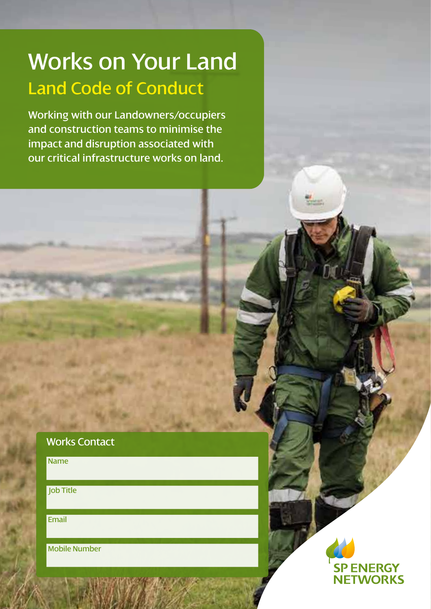# Works on Your Land Land Code of Conduct

Working with our Landowners/occupiers and construction teams to minimise the impact and disruption associated with our critical infrastructure works on land.

# Works Contact

Name

Job Title

Email

Mobile Number